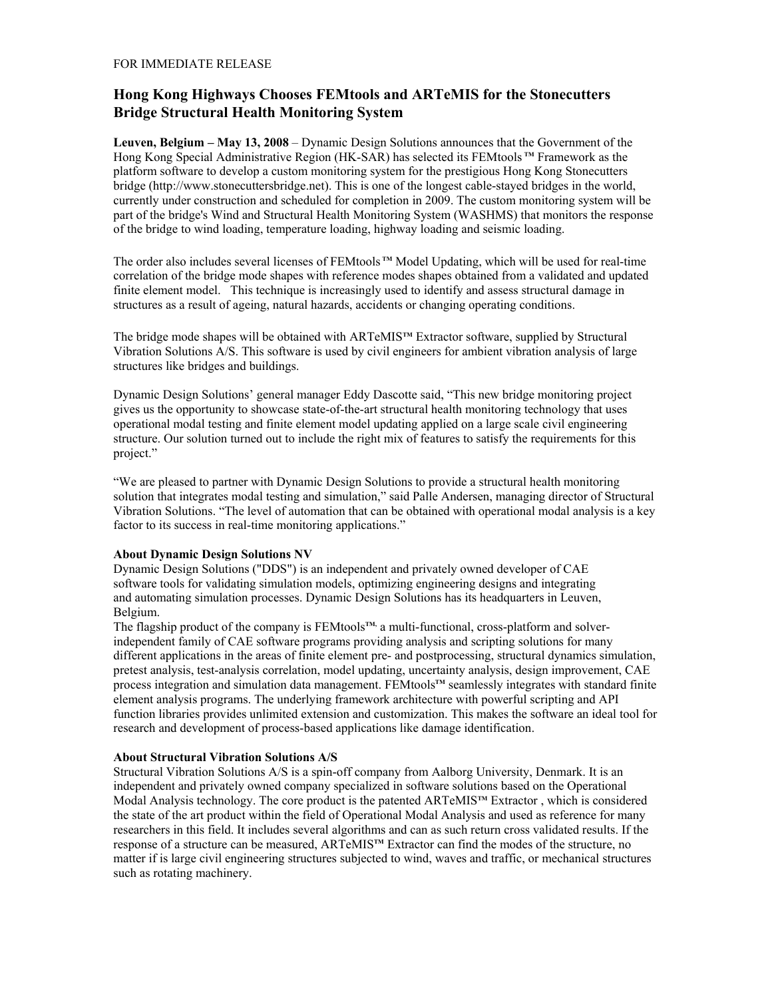## **Hong Kong Highways Chooses FEMtools and ARTeMIS for the Stonecutters Bridge Structural Health Monitoring System**

**Leuven, Belgium – May 13, 2008** – Dynamic Design Solutions announces that the Government of the Hong Kong Special Administrative Region (HK-SAR) has selected its FEMtools **TM** Framework as the platform software to develop a custom monitoring system for the prestigious Hong Kong Stonecutters bridge (http://www.stonecuttersbridge.net). This is one of the longest cable-stayed bridges in the world, currently under construction and scheduled for completion in 2009. The custom monitoring system will be part of the bridge's Wind and Structural Health Monitoring System (WASHMS) that monitors the response of the bridge to wind loading, temperature loading, highway loading and seismic loading.

The order also includes several licenses of FEMtools™ Model Updating, which will be used for real-time correlation of the bridge mode shapes with reference modes shapes obtained from a validated and updated finite element model. This technique is increasingly used to identify and assess structural damage in structures as a result of ageing, natural hazards, accidents or changing operating conditions.

The bridge mode shapes will be obtained with ARTeMIS<sup>™</sup> Extractor software, supplied by Structural Vibration Solutions A/S. This software is used by civil engineers for ambient vibration analysis of large structures like bridges and buildings.

Dynamic Design Solutions' general manager Eddy Dascotte said, "This new bridge monitoring project gives us the opportunity to showcase state-of-the-art structural health monitoring technology that uses operational modal testing and finite element model updating applied on a large scale civil engineering structure. Our solution turned out to include the right mix of features to satisfy the requirements for this project."

"We are pleased to partner with Dynamic Design Solutions to provide a structural health monitoring solution that integrates modal testing and simulation," said Palle Andersen, managing director of Structural Vibration Solutions. "The level of automation that can be obtained with operational modal analysis is a key factor to its success in real-time monitoring applications."

## **About Dynamic Design Solutions NV**

Dynamic Design Solutions ("DDS") is an independent and privately owned developer of CAE software tools for validating simulation models, optimizing engineering designs and integrating and automating simulation processes. Dynamic Design Solutions has its headquarters in Leuven, Belgium.

The flagship product of the company is FEMtools™ a multi-functional, cross-platform and solverindependent family of CAE software programs providing analysis and scripting solutions for many different applications in the areas of finite element pre- and postprocessing, structural dynamics simulation, pretest analysis, test-analysis correlation, model updating, uncertainty analysis, design improvement, CAE process integration and simulation data management. FEMtools<sup>™</sup> seamlessly integrates with standard finite element analysis programs. The underlying framework architecture with powerful scripting and API function libraries provides unlimited extension and customization. This makes the software an ideal tool for research and development of process-based applications like damage identification.

## **About Structural Vibration Solutions A/S**

Structural Vibration Solutions A/S is a spin-off company from Aalborg University, Denmark. It is an independent and privately owned company specialized in software solutions based on the Operational Modal Analysis technology. The core product is the patented ARTeMIS**TM** Extractor , which is considered the state of the art product within the field of Operational Modal Analysis and used as reference for many researchers in this field. It includes several algorithms and can as such return cross validated results. If the response of a structure can be measured, ARTeMIS**TM** Extractor can find the modes of the structure, no matter if is large civil engineering structures subjected to wind, waves and traffic, or mechanical structures such as rotating machinery.